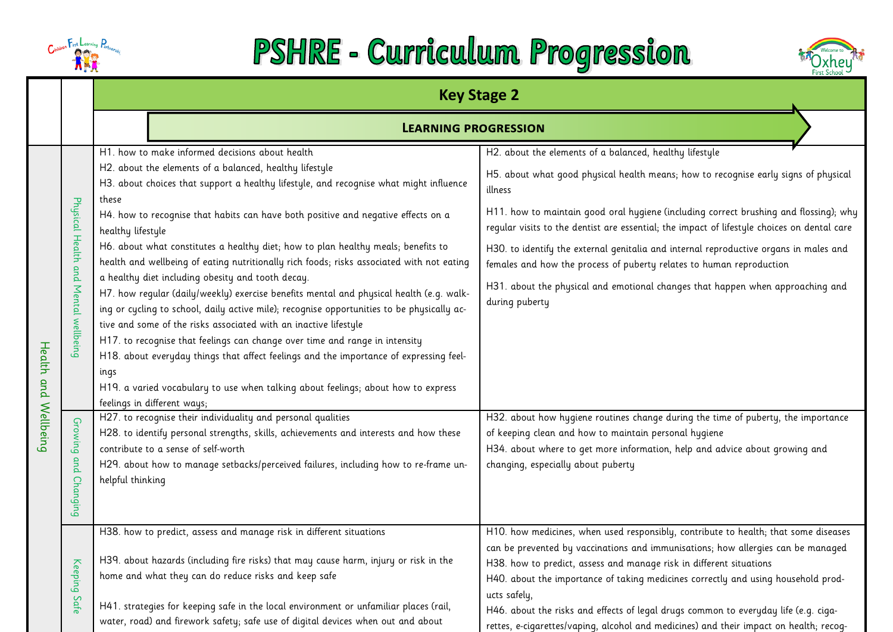

## PSHRE - Curriculum Progression



|           |                                      | <b>Key Stage 2</b>                                                                                                                                                                                                                         |                                                                                                                                                                                      |  |  |  |
|-----------|--------------------------------------|--------------------------------------------------------------------------------------------------------------------------------------------------------------------------------------------------------------------------------------------|--------------------------------------------------------------------------------------------------------------------------------------------------------------------------------------|--|--|--|
|           |                                      | <b>LEARNING PROGRESSION</b>                                                                                                                                                                                                                |                                                                                                                                                                                      |  |  |  |
|           |                                      | H1. how to make informed decisions about health                                                                                                                                                                                            | H2. about the elements of a balanced, healthy lifestyle                                                                                                                              |  |  |  |
|           |                                      | H2. about the elements of a balanced, healthy lifestyle<br>H3. about choices that support a healthy lifestyle, and recognise what might influence<br>these                                                                                 | H5. about what good physical health means; how to recognise early signs of physical<br>illness                                                                                       |  |  |  |
|           | Physical Health and Mental wellbeing | H4. how to recognise that habits can have both positive and negative effects on a<br>healthy lifestyle                                                                                                                                     | H11. how to maintain good oral hygiene (including correct brushing and flossing); why<br>regular visits to the dentist are essential; the impact of lifestyle choices on dental care |  |  |  |
|           |                                      | H6. about what constitutes a healthy diet; how to plan healthy meals; benefits to<br>health and wellbeing of eating nutritionally rich foods; risks associated with not eating                                                             | H30. to identify the external genitalia and internal reproductive organs in males and<br>females and how the process of puberty relates to human reproduction                        |  |  |  |
|           |                                      | a healthy diet including obesity and tooth decay.<br>H7. how regular (daily/weekly) exercise benefits mental and physical health (e.g. walk-<br>ing or cycling to school, daily active mile); recognise opportunities to be physically ac- | H31. about the physical and emotional changes that happen when approaching and<br>during puberty                                                                                     |  |  |  |
|           |                                      | tive and some of the risks associated with an inactive lifestyle                                                                                                                                                                           |                                                                                                                                                                                      |  |  |  |
| Health    |                                      | H17. to recognise that feelings can change over time and range in intensity<br>H18. about everyday things that affect feelings and the importance of expressing feel-                                                                      |                                                                                                                                                                                      |  |  |  |
|           |                                      | ings                                                                                                                                                                                                                                       |                                                                                                                                                                                      |  |  |  |
| and       |                                      | H19. a varied vocabulary to use when talking about feelings; about how to express                                                                                                                                                          |                                                                                                                                                                                      |  |  |  |
|           |                                      | feelings in different ways;<br>H27. to recognise their individuality and personal qualities                                                                                                                                                | H32. about how hygiene routines change during the time of puberty, the importance                                                                                                    |  |  |  |
| Wellbeing | Growing                              | H28. to identify personal strengths, skills, achievements and interests and how these                                                                                                                                                      | of keeping clean and how to maintain personal hygiene                                                                                                                                |  |  |  |
|           |                                      | contribute to a sense of self-worth                                                                                                                                                                                                        | H34. about where to get more information, help and advice about growing and                                                                                                          |  |  |  |
|           | and                                  | H29. about how to manage setbacks/perceived failures, including how to re-frame un-                                                                                                                                                        | changing, especially about puberty                                                                                                                                                   |  |  |  |
|           | Changing                             | helpful thinking                                                                                                                                                                                                                           |                                                                                                                                                                                      |  |  |  |
|           |                                      | H38. how to predict, assess and manage risk in different situations                                                                                                                                                                        | H10. how medicines, when used responsibly, contribute to health; that some diseases                                                                                                  |  |  |  |
|           |                                      | H39. about hazards (including fire risks) that may cause harm, injury or risk in the                                                                                                                                                       | can be prevented by vaccinations and immunisations; how allergies can be managed                                                                                                     |  |  |  |
|           | Keeping                              | home and what they can do reduce risks and keep safe                                                                                                                                                                                       | H38. how to predict, assess and manage risk in different situations<br>H40. about the importance of taking medicines correctly and using household prod-                             |  |  |  |
|           |                                      |                                                                                                                                                                                                                                            | ucts safely,                                                                                                                                                                         |  |  |  |
|           | Safe                                 | H41. strategies for keeping safe in the local environment or unfamiliar places (rail,                                                                                                                                                      | H46. about the risks and effects of legal drugs common to everyday life (e.g. ciga-                                                                                                  |  |  |  |
|           |                                      | water, road) and firework safety; safe use of digital devices when out and about                                                                                                                                                           | rettes, e-cigarettes/vaping, alcohol and medicines) and their impact on health; recog-                                                                                               |  |  |  |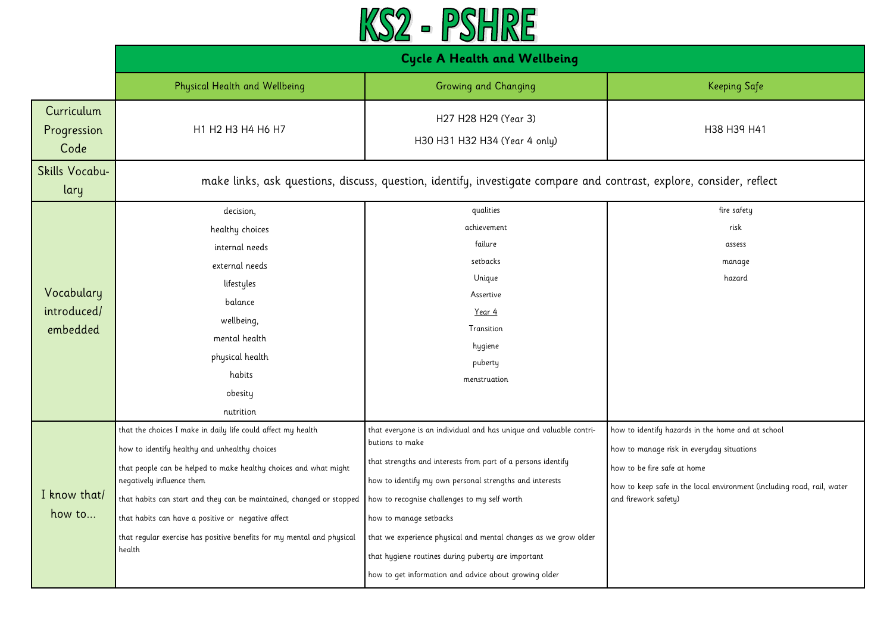

|                                       | <b>Cycle A Health and Wellbeing</b>                                                                                                                                                                                                                                                                                                                                                                                              |                                                                                                                                                                                                                                                                                                                                                                                                                                                                              |                                                                                                                                                                                                                                 |
|---------------------------------------|----------------------------------------------------------------------------------------------------------------------------------------------------------------------------------------------------------------------------------------------------------------------------------------------------------------------------------------------------------------------------------------------------------------------------------|------------------------------------------------------------------------------------------------------------------------------------------------------------------------------------------------------------------------------------------------------------------------------------------------------------------------------------------------------------------------------------------------------------------------------------------------------------------------------|---------------------------------------------------------------------------------------------------------------------------------------------------------------------------------------------------------------------------------|
|                                       | <b>Physical Health and Wellbeing</b>                                                                                                                                                                                                                                                                                                                                                                                             | Growing and Changing                                                                                                                                                                                                                                                                                                                                                                                                                                                         | <b>Keeping Safe</b>                                                                                                                                                                                                             |
| Curriculum<br>Progression<br>Code     | H1 H2 H3 H4 H6 H7                                                                                                                                                                                                                                                                                                                                                                                                                | H27 H28 H29 (Year 3)<br>H30 H31 H32 H34 (Year 4 only)                                                                                                                                                                                                                                                                                                                                                                                                                        | H38 H39 H41                                                                                                                                                                                                                     |
| Skills Vocabu-<br>lary                | make links, ask questions, discuss, question, identify, investigate compare and contrast, explore, consider, reflect                                                                                                                                                                                                                                                                                                             |                                                                                                                                                                                                                                                                                                                                                                                                                                                                              |                                                                                                                                                                                                                                 |
| Vocabulary<br>introduced/<br>embedded | decision,<br>healthy choices<br>internal needs<br>external needs<br>lifestyles<br>balance<br>wellbeing,<br>mental health<br>physical health<br>habits<br>obesity<br>nutrition                                                                                                                                                                                                                                                    | qualities<br>achievement<br>failure<br>setbacks<br>Unique<br>Assertive<br>Year 4<br>Transition<br>hygiene<br>puberty<br>menstruation                                                                                                                                                                                                                                                                                                                                         | fire safety<br>risk<br>assess<br>manage<br>hazard                                                                                                                                                                               |
| I know that/<br>how to                | that the choices I make in daily life could affect my health<br>how to identify healthy and unhealthy choices<br>that people can be helped to make healthy choices and what might<br>negatively influence them<br>that habits can start and they can be maintained, changed or stopped<br>that habits can have a positive or negative affect<br>that regular exercise has positive benefits for my mental and physical<br>health | that everyone is an individual and has unique and valuable contri-<br>butions to make<br>that strengths and interests from part of a persons identify<br>how to identify my own personal strengths and interests<br>how to recognise challenges to my self worth<br>how to manage setbacks<br>that we experience physical and mental changes as we grow older<br>that hygiene routines during puberty are important<br>how to get information and advice about growing older | how to identify hazards in the home and at school<br>how to manage risk in everyday situations<br>how to be fire safe at home<br>how to keep safe in the local environment (including road, rail, water<br>and firework safety) |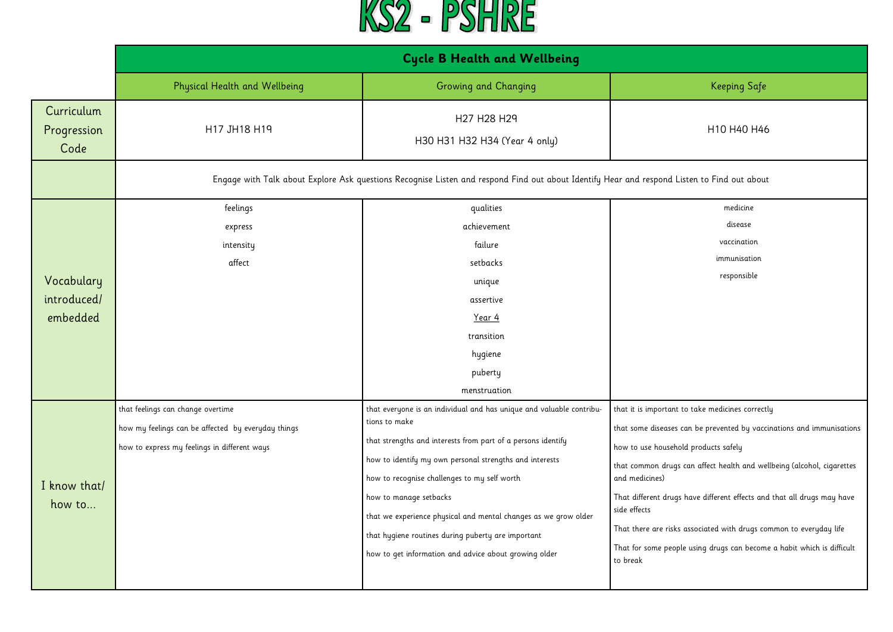

|                                   | <b>Cycle B Health and Wellbeing</b>                |                                                                                                                                             |                                                                                         |
|-----------------------------------|----------------------------------------------------|---------------------------------------------------------------------------------------------------------------------------------------------|-----------------------------------------------------------------------------------------|
|                                   | Physical Health and Wellbeing                      | Growing and Changing                                                                                                                        | <b>Keeping Safe</b>                                                                     |
| Curriculum<br>Progression<br>Code | H17 JH18 H19                                       | H27 H28 H29<br>H30 H31 H32 H34 (Year 4 only)                                                                                                | H10 H40 H46                                                                             |
|                                   |                                                    | Engage with Talk about Explore Ask questions Recognise Listen and respond Find out about Identify Hear and respond Listen to Find out about |                                                                                         |
|                                   | feelings                                           | qualities                                                                                                                                   | medicine                                                                                |
|                                   | express                                            | achievement                                                                                                                                 | disease                                                                                 |
|                                   | intensity                                          | failure                                                                                                                                     | vaccination                                                                             |
|                                   | affect                                             | setbacks                                                                                                                                    | immunisation                                                                            |
| Vocabulary                        |                                                    | unique                                                                                                                                      | responsible                                                                             |
| introduced/                       |                                                    | assertive                                                                                                                                   |                                                                                         |
| embedded                          |                                                    | Year 4                                                                                                                                      |                                                                                         |
|                                   |                                                    | transition                                                                                                                                  |                                                                                         |
|                                   |                                                    | hygiene                                                                                                                                     |                                                                                         |
|                                   |                                                    | puberty                                                                                                                                     |                                                                                         |
|                                   |                                                    | menstruation                                                                                                                                |                                                                                         |
|                                   | that feelings can change overtime                  | that everyone is an individual and has unique and valuable contribu-                                                                        | that it is important to take medicines correctly                                        |
|                                   | how my feelings can be affected by everyday things | tions to make                                                                                                                               | that some diseases can be prevented by vaccinations and immunisations                   |
|                                   | how to express my feelings in different ways       | that strengths and interests from part of a persons identify                                                                                | how to use household products safely                                                    |
|                                   |                                                    | how to identify my own personal strengths and interests                                                                                     | that common drugs can affect health and wellbeing (alcohol, cigarettes                  |
| I know that/                      |                                                    | how to recognise challenges to my self worth                                                                                                | and medicines)                                                                          |
| how to                            |                                                    | how to manage setbacks                                                                                                                      | That different drugs have different effects and that all drugs may have<br>side effects |
|                                   |                                                    | that we experience physical and mental changes as we grow older                                                                             | That there are risks associated with drugs common to everyday life                      |
|                                   |                                                    | that hygiene routines during puberty are important                                                                                          | That for some people using drugs can become a habit which is difficult                  |
|                                   |                                                    | how to get information and advice about growing older                                                                                       | to break                                                                                |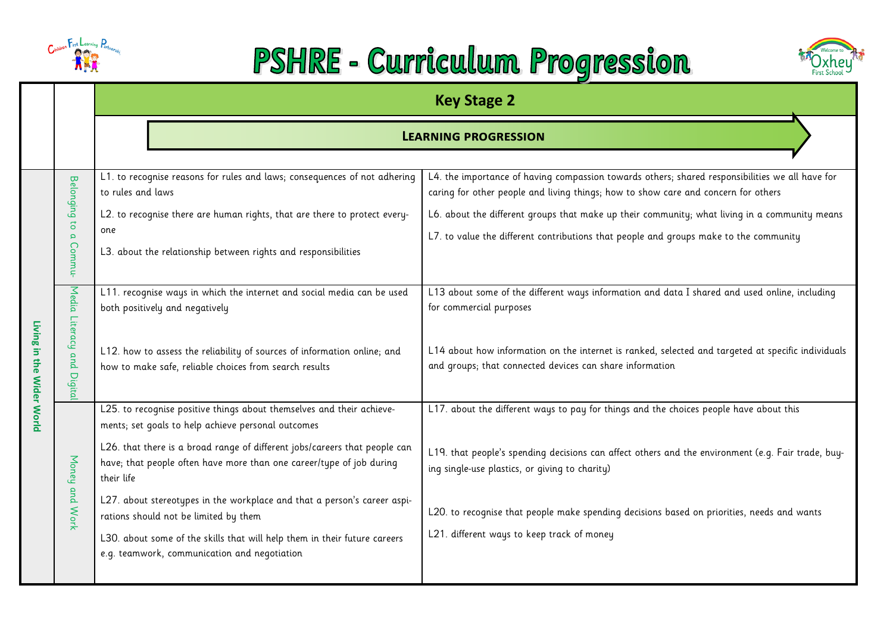

## PSHRE - Curriculum Progression



|                                |                                                                    |                                                                                                                                                                                                                                                                                                                                                                                                                                                                                                                                                   | <b>Key Stage 2</b>                                                                                                                                                                                                                                                                                                                                                                         |  |
|--------------------------------|--------------------------------------------------------------------|---------------------------------------------------------------------------------------------------------------------------------------------------------------------------------------------------------------------------------------------------------------------------------------------------------------------------------------------------------------------------------------------------------------------------------------------------------------------------------------------------------------------------------------------------|--------------------------------------------------------------------------------------------------------------------------------------------------------------------------------------------------------------------------------------------------------------------------------------------------------------------------------------------------------------------------------------------|--|
|                                |                                                                    |                                                                                                                                                                                                                                                                                                                                                                                                                                                                                                                                                   | <b>LEARNING PROGRESSION</b>                                                                                                                                                                                                                                                                                                                                                                |  |
|                                | <b>Belonging</b><br>$\overline{c}$<br>$\bar{\mathbf{q}}$<br>Commu- | L1. to recognise reasons for rules and laws; consequences of not adhering<br>to rules and laws<br>L2. to recognise there are human rights, that are there to protect every-<br>one<br>L3. about the relationship between rights and responsibilities                                                                                                                                                                                                                                                                                              | L4. the importance of having compassion towards others; shared responsibilities we all have for<br>caring for other people and living things; how to show care and concern for others<br>L6. about the different groups that make up their community; what living in a community means<br>L7. to value the different contributions that people and groups make to the community            |  |
| Living<br>5<br>the Wider World | Media Literacy<br>and<br>Digital                                   | L11. recognise ways in which the internet and social media can be used<br>both positively and negatively<br>L12. how to assess the reliability of sources of information online; and<br>how to make safe, reliable choices from search results                                                                                                                                                                                                                                                                                                    | L13 about some of the different ways information and data I shared and used online, including<br>for commercial purposes<br>L14 about how information on the internet is ranked, selected and targeted at specific individuals<br>and groups; that connected devices can share information                                                                                                 |  |
|                                | Money and Work                                                     | L25. to recognise positive things about themselves and their achieve-<br>ments; set goals to help achieve personal outcomes<br>L26. that there is a broad range of different jobs/careers that people can<br>have; that people often have more than one career/type of job during<br>their life<br>L27. about stereotypes in the workplace and that a person's career aspi-<br>rations should not be limited by them<br>L30. about some of the skills that will help them in their future careers<br>e.g. teamwork, communication and negotiation | L17. about the different ways to pay for things and the choices people have about this<br>L19. that people's spending decisions can affect others and the environment (e.g. Fair trade, buy-<br>ing single-use plastics, or giving to charity)<br>L20. to recognise that people make spending decisions based on priorities, needs and wants<br>L21. different ways to keep track of money |  |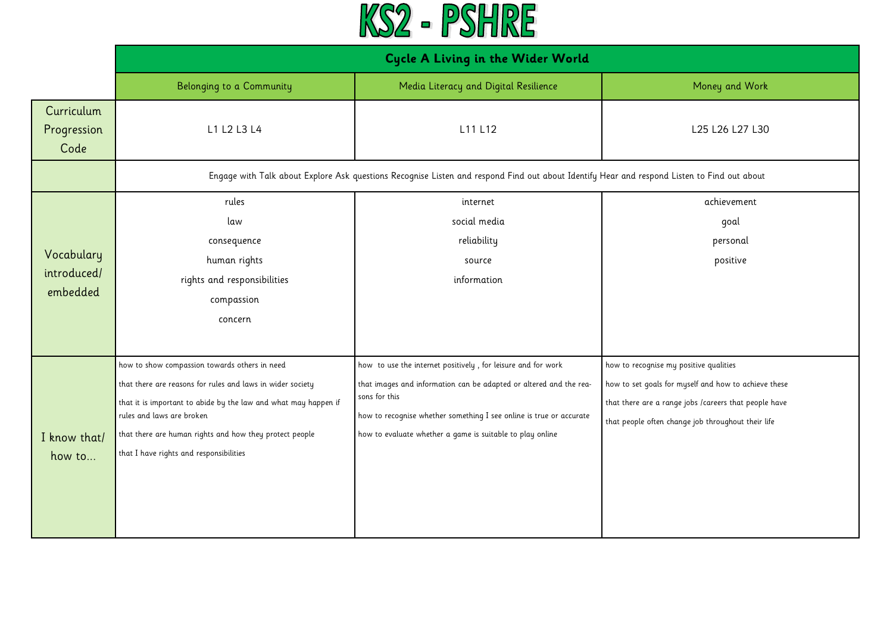

|                                       | <b>Cycle A Living in the Wider World</b>                                                                                                                                                                                                                                                                          |                                                                                                                                                                                                                                                                                         |                                                                                                                                                                                                               |
|---------------------------------------|-------------------------------------------------------------------------------------------------------------------------------------------------------------------------------------------------------------------------------------------------------------------------------------------------------------------|-----------------------------------------------------------------------------------------------------------------------------------------------------------------------------------------------------------------------------------------------------------------------------------------|---------------------------------------------------------------------------------------------------------------------------------------------------------------------------------------------------------------|
|                                       | Belonging to a Community                                                                                                                                                                                                                                                                                          | Media Literacy and Digital Resilience                                                                                                                                                                                                                                                   | Money and Work                                                                                                                                                                                                |
| Curriculum<br>Progression<br>Code     | L1 L2 L3 L4                                                                                                                                                                                                                                                                                                       | L11 L12                                                                                                                                                                                                                                                                                 | L25 L26 L27 L30                                                                                                                                                                                               |
|                                       |                                                                                                                                                                                                                                                                                                                   | Engage with Talk about Explore Ask questions Recognise Listen and respond Find out about Identify Hear and respond Listen to Find out about                                                                                                                                             |                                                                                                                                                                                                               |
| Vocabulary<br>introduced/<br>embedded | rules<br>law<br>consequence<br>human rights<br>rights and responsibilities<br>compassion<br>concern                                                                                                                                                                                                               | internet<br>social media<br>reliability<br>source<br>information                                                                                                                                                                                                                        | achievement<br>goal<br>personal<br>positive                                                                                                                                                                   |
| I know that/<br>how to                | how to show compassion towards others in need<br>that there are reasons for rules and laws in wider society<br>that it is important to abide by the law and what may happen if<br>rules and laws are broken<br>that there are human rights and how they protect people<br>that I have rights and responsibilities | how to use the internet positively, for leisure and for work<br>that images and information can be adapted or altered and the rea-<br>sons for this<br>how to recognise whether something I see online is true or accurate<br>how to evaluate whether a game is suitable to play online | how to recognise my positive qualities<br>how to set goals for myself and how to achieve these<br>that there are a range jobs /careers that people have<br>that people often change job throughout their life |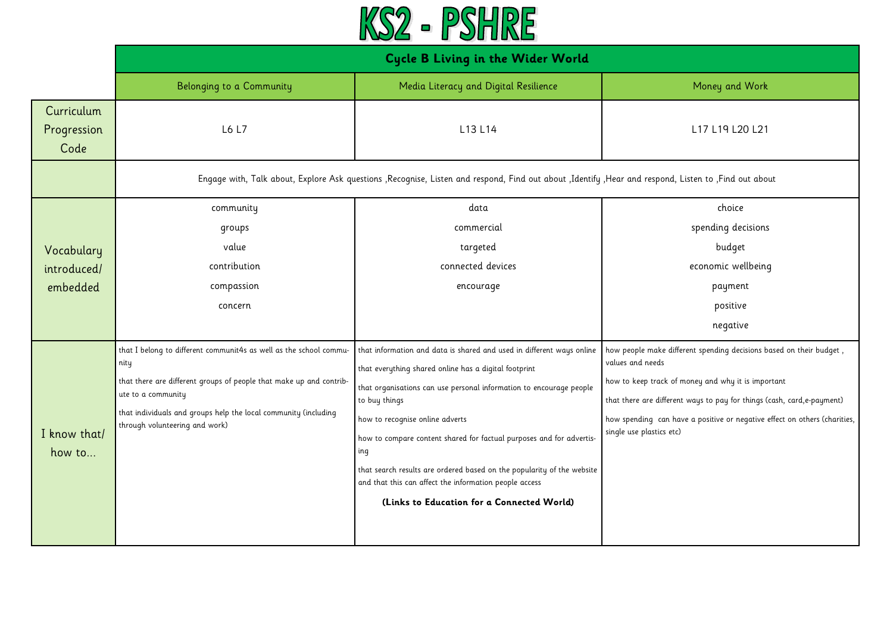

|                                       | <b>Cycle B Living in the Wider World</b>                                                                                                                                                                                                                                     |                                                                                                                                                                                                                                                                                                                                                                                                                                                                                                                            |                                                                                                                                                                                                                                                                                                                                  |
|---------------------------------------|------------------------------------------------------------------------------------------------------------------------------------------------------------------------------------------------------------------------------------------------------------------------------|----------------------------------------------------------------------------------------------------------------------------------------------------------------------------------------------------------------------------------------------------------------------------------------------------------------------------------------------------------------------------------------------------------------------------------------------------------------------------------------------------------------------------|----------------------------------------------------------------------------------------------------------------------------------------------------------------------------------------------------------------------------------------------------------------------------------------------------------------------------------|
|                                       | Belonging to a Community                                                                                                                                                                                                                                                     | Media Literacy and Digital Resilience                                                                                                                                                                                                                                                                                                                                                                                                                                                                                      | Money and Work                                                                                                                                                                                                                                                                                                                   |
| Curriculum<br>Progression<br>Code     | L6 L7                                                                                                                                                                                                                                                                        | L13 L14                                                                                                                                                                                                                                                                                                                                                                                                                                                                                                                    | L17 L19 L20 L21                                                                                                                                                                                                                                                                                                                  |
|                                       |                                                                                                                                                                                                                                                                              | Engage with, Talk about, Explore Ask questions , Recognise, Listen and respond, Find out about , Identify , Hear and respond, Listen to , Find out about                                                                                                                                                                                                                                                                                                                                                                   |                                                                                                                                                                                                                                                                                                                                  |
| Vocabulary<br>introduced/<br>embedded | community<br>groups<br>value<br>contribution<br>compassion<br>concern                                                                                                                                                                                                        | data<br>commercial<br>targeted<br>connected devices<br>encourage                                                                                                                                                                                                                                                                                                                                                                                                                                                           | choice<br>spending decisions<br>budget<br>economic wellbeing<br>payment<br>positive<br>negative                                                                                                                                                                                                                                  |
| I know that/<br>how to                | that I belong to different communit4s as well as the school commu-<br>nity<br>that there are different groups of people that make up and contrib-<br>ute to a community<br>that individuals and groups help the local community (including<br>through volunteering and work) | that information and data is shared and used in different ways online<br>that everything shared online has a digital footprint<br>that organisations can use personal information to encourage people<br>to buy things<br>how to recognise online adverts<br>how to compare content shared for factual purposes and for advertis-<br>ing<br>that search results are ordered based on the popularity of the website<br>and that this can affect the information people access<br>(Links to Education for a Connected World) | how people make different spending decisions based on their budget,<br>values and needs<br>how to keep track of money and why it is important<br>that there are different ways to pay for things (cash, card,e-payment)<br>how spending can have a positive or negative effect on others (charities,<br>single use plastics etc) |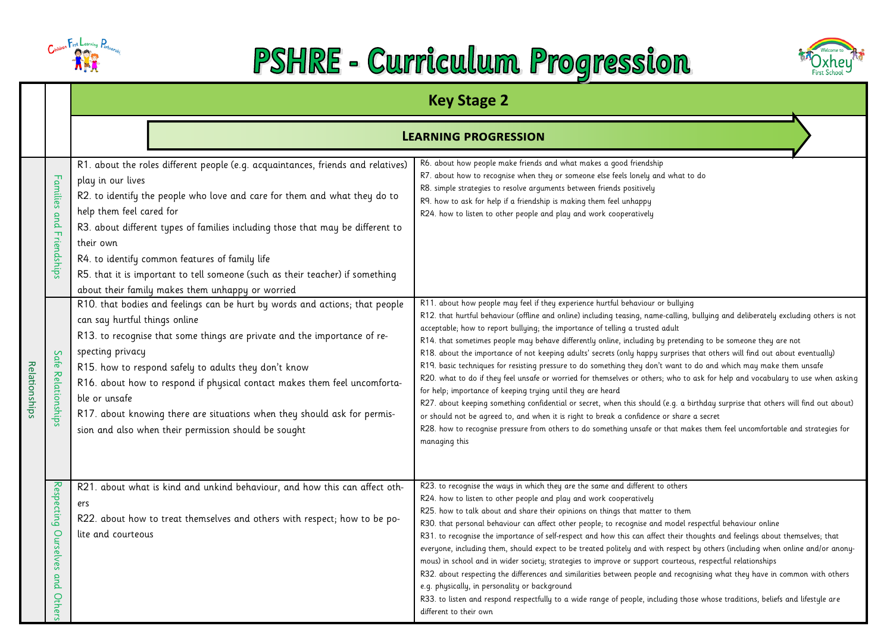

## PSHRE - Curriculum Progression



|               |                                          | <b>Key Stage 2</b>                                                                                                                                                                                                                                                                                                                                                                                                                                                                                                                                                                  |                                                                                                                                                                                                                                                                                                                                                                                                                                                                                                                                                                                                                                                                                                                                                                                                                                                                                                                                                                                                                                                                            |  |
|---------------|------------------------------------------|-------------------------------------------------------------------------------------------------------------------------------------------------------------------------------------------------------------------------------------------------------------------------------------------------------------------------------------------------------------------------------------------------------------------------------------------------------------------------------------------------------------------------------------------------------------------------------------|----------------------------------------------------------------------------------------------------------------------------------------------------------------------------------------------------------------------------------------------------------------------------------------------------------------------------------------------------------------------------------------------------------------------------------------------------------------------------------------------------------------------------------------------------------------------------------------------------------------------------------------------------------------------------------------------------------------------------------------------------------------------------------------------------------------------------------------------------------------------------------------------------------------------------------------------------------------------------------------------------------------------------------------------------------------------------|--|
|               |                                          |                                                                                                                                                                                                                                                                                                                                                                                                                                                                                                                                                                                     | <b>LEARNING PROGRESSION</b>                                                                                                                                                                                                                                                                                                                                                                                                                                                                                                                                                                                                                                                                                                                                                                                                                                                                                                                                                                                                                                                |  |
|               | Families and Friendships                 | R1. about the roles different people (e.g. acquaintances, friends and relatives)<br>play in our lives<br>R2. to identify the people who love and care for them and what they do to<br>help them feel cared for<br>R3. about different types of families including those that may be different to<br>their own<br>R4. to identify common features of family life<br>R5. that it is important to tell someone (such as their teacher) if something<br>about their family makes them unhappy or worried<br>R10. that bodies and feelings can be hurt by words and actions; that people | R6. about how people make friends and what makes a good friendship<br>R7. about how to recognise when they or someone else feels lonely and what to do<br>R8. simple strategies to resolve arguments between friends positively<br>R9. how to ask for help if a friendship is making them feel unhappy<br>R24. how to listen to other people and play and work cooperatively<br>R11. about how people may feel if they experience hurtful behaviour or bullying<br>R12. that hurtful behaviour (offline and online) including teasing, name-calling, bullying and deliberately excluding others is not                                                                                                                                                                                                                                                                                                                                                                                                                                                                     |  |
| Relationships | Safe Relationships                       | can say hurtful things online<br>R13. to recognise that some things are private and the importance of re-<br>specting privacy<br>R15. how to respond safely to adults they don't know<br>R16. about how to respond if physical contact makes them feel uncomforta-<br>ble or unsafe<br>R17. about knowing there are situations when they should ask for permis-<br>sion and also when their permission should be sought                                                                                                                                                             | acceptable; how to report bullying; the importance of telling a trusted adult<br>R14. that sometimes people may behave differently online, including by pretending to be someone they are not<br>R18. about the importance of not keeping adults' secrets (only happy surprises that others will find out about eventually)<br>R19. basic techniques for resisting pressure to do something they don't want to do and which may make them unsafe<br>R20. what to do if they feel unsafe or worried for themselves or others; who to ask for help and vocabulary to use when asking<br>for help; importance of keeping trying until they are heard<br>R27. about keeping something confidential or secret, when this should (e.g. a birthday surprise that others will find out about)<br>or should not be agreed to, and when it is right to break a confidence or share a secret<br>R28. how to recognise pressure from others to do something unsafe or that makes them feel uncomfortable and strategies for<br>managing this                                           |  |
|               | Respecting<br>Ourselves<br>and<br>Others | R21. about what is kind and unkind behaviour, and how this can affect oth-<br>ers<br>R22. about how to treat themselves and others with respect; how to be po-<br>lite and courteous                                                                                                                                                                                                                                                                                                                                                                                                | R23. to recognise the ways in which they are the same and different to others<br>R24. how to listen to other people and play and work cooperatively<br>R25. how to talk about and share their opinions on things that matter to them<br>R30. that personal behaviour can affect other people; to recognise and model respectful behaviour online<br>R31. to recognise the importance of self-respect and how this can affect their thoughts and feelings about themselves; that<br>everyone, including them, should expect to be treated politely and with respect by others (including when online and/or anony-<br>mous) in school and in wider society; strategies to improve or support courteous, respectful relationships<br>R32. about respecting the differences and similarities between people and recognising what they have in common with others<br>e.g. physically, in personality or background<br>R33. to listen and respond respectfully to a wide range of people, including those whose traditions, beliefs and lifestyle are<br>different to their own |  |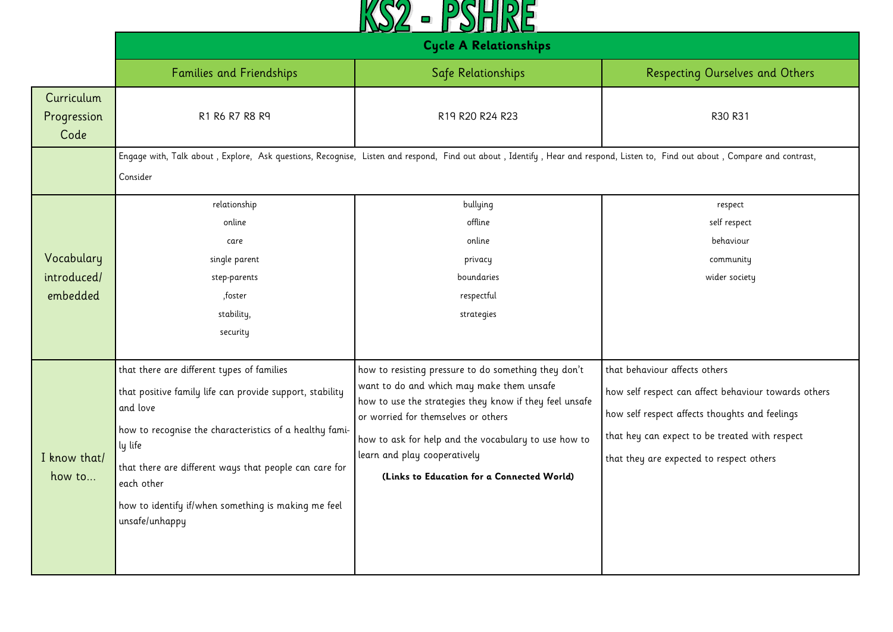

|                                       | <b>Cycle A Relationships</b>                                                                                                                                                                                                                                                                                                              |                                                                                                                                                                                                                                                                                                                                           |                                                                                                                                                                                                                                       |
|---------------------------------------|-------------------------------------------------------------------------------------------------------------------------------------------------------------------------------------------------------------------------------------------------------------------------------------------------------------------------------------------|-------------------------------------------------------------------------------------------------------------------------------------------------------------------------------------------------------------------------------------------------------------------------------------------------------------------------------------------|---------------------------------------------------------------------------------------------------------------------------------------------------------------------------------------------------------------------------------------|
|                                       | <b>Families and Friendships</b>                                                                                                                                                                                                                                                                                                           | Safe Relationships                                                                                                                                                                                                                                                                                                                        | <b>Respecting Ourselves and Others</b>                                                                                                                                                                                                |
| Curriculum<br>Progression<br>Code     | R1 R6 R7 R8 R9                                                                                                                                                                                                                                                                                                                            | R19 R20 R24 R23<br>Engage with, Talk about, Explore, Ask questions, Recognise, Listen and respond, Find out about, Identify, Hear and respond, Listen to, Find out about, Compare and contrast,                                                                                                                                           | R30 R31                                                                                                                                                                                                                               |
|                                       | Consider<br>relationship                                                                                                                                                                                                                                                                                                                  | bullying                                                                                                                                                                                                                                                                                                                                  | respect                                                                                                                                                                                                                               |
| Vocabulary<br>introduced/<br>embedded | online<br>care<br>single parent<br>step-parents<br>,foster<br>stability,<br>security                                                                                                                                                                                                                                                      | offline<br>online<br>privacy<br>boundaries<br>respectful<br>strategies                                                                                                                                                                                                                                                                    | self respect<br>behaviour<br>community<br>wider society                                                                                                                                                                               |
| I know that/<br>how to                | that there are different types of families<br>that positive family life can provide support, stability<br>and love<br>how to recognise the characteristics of a healthy fami-<br>ly life<br>that there are different ways that people can care for<br>each other<br>how to identify if/when something is making me feel<br>unsafe/unhappy | how to resisting pressure to do something they don't<br>want to do and which may make them unsafe<br>how to use the strategies they know if they feel unsafe<br>or worried for themselves or others<br>how to ask for help and the vocabulary to use how to<br>learn and play cooperatively<br>(Links to Education for a Connected World) | that behaviour affects others<br>how self respect can affect behaviour towards others<br>how self respect affects thoughts and feelings<br>that hey can expect to be treated with respect<br>that they are expected to respect others |